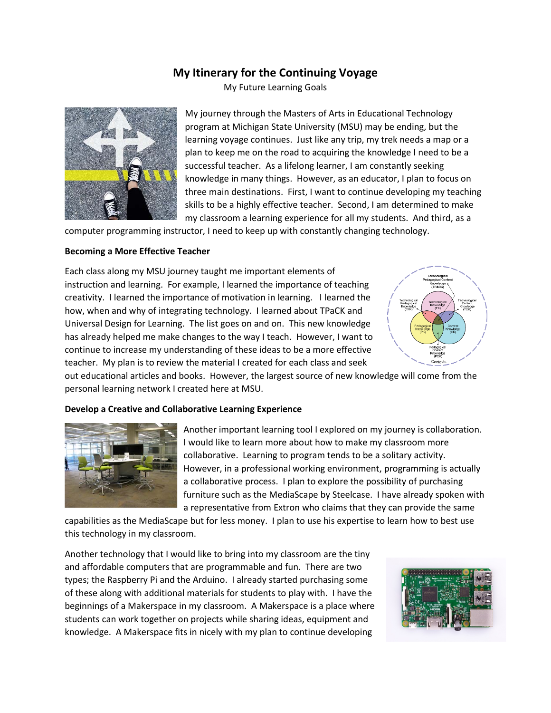# **My Itinerary for the Continuing Voyage**

My Future Learning Goals



My journey through the Masters of Arts in Educational Technology program at Michigan State University (MSU) may be ending, but the learning voyage continues. Just like any trip, my trek needs a map or a plan to keep me on the road to acquiring the knowledge I need to be a successful teacher. As a lifelong learner, I am constantly seeking knowledge in many things. However, as an educator, I plan to focus on three main destinations. First, I want to continue developing my teaching skills to be a highly effective teacher. Second, I am determined to make my classroom a learning experience for all my students. And third, as a

computer programming instructor, I need to keep up with constantly changing technology.

#### **Becoming a More Effective Teacher**

Each class along my MSU journey taught me important elements of instruction and learning. For example, I learned the importance of teaching creativity. I learned the importance of motivation in learning. I learned the how, when and why of integrating technology. I learned about TPaCK and Universal Design for Learning. The list goes on and on. This new knowledge has already helped me make changes to the way I teach. However, I want to continue to increase my understanding of these ideas to be a more effective teacher. My plan is to review the material I created for each class and seek



out educational articles and books. However, the largest source of new knowledge will come from the personal learning network I created here at MSU.

#### **Develop a Creative and Collaborative Learning Experience**



Another important learning tool I explored on my journey is collaboration. I would like to learn more about how to make my classroom more collaborative. Learning to program tends to be a solitary activity. However, in a professional working environment, programming is actually a collaborative process. I plan to explore the possibility of purchasing furniture such as the MediaScape by Steelcase. I have already spoken with a representative from Extron who claims that they can provide the same

capabilities as the MediaScape but for less money. I plan to use his expertise to learn how to best use this technology in my classroom.

Another technology that I would like to bring into my classroom are the tiny and affordable computers that are programmable and fun. There are two types; the Raspberry Pi and the Arduino. I already started purchasing some of these along with additional materials for students to play with. I have the beginnings of a Makerspace in my classroom. A Makerspace is a place where students can work together on projects while sharing ideas, equipment and knowledge. A Makerspace fits in nicely with my plan to continue developing